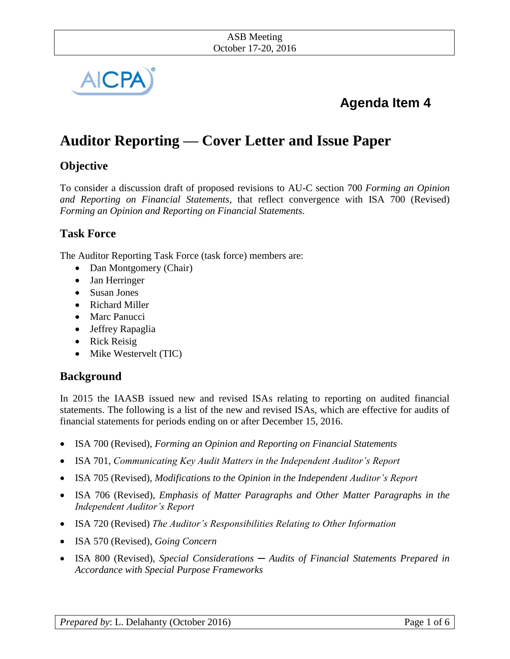

# **Agenda Item 4**

# **Auditor Reporting — Cover Letter and Issue Paper**

# **Objective**

To consider a discussion draft of proposed revisions to AU-C section 700 *Forming an Opinion and Reporting on Financial Statements*, that reflect convergence with ISA 700 (Revised) *Forming an Opinion and Reporting on Financial Statements*.

# **Task Force**

The Auditor Reporting Task Force (task force) members are:

- Dan Montgomery (Chair)
- Jan Herringer
- Susan Jones
- Richard Miller
- Marc Panucci
- Jeffrey Rapaglia
- Rick Reisig
- Mike Westervelt (TIC)

# **Background**

In 2015 the IAASB issued new and revised ISAs relating to reporting on audited financial statements. The following is a list of the new and revised ISAs, which are effective for audits of financial statements for periods ending on or after December 15, 2016.

- ISA 700 (Revised), *Forming an Opinion and Reporting on Financial Statements*
- ISA 701, *Communicating Key Audit Matters in the Independent Auditor's Report*
- ISA 705 (Revised), *Modifications to the Opinion in the Independent Auditor's Report*
- ISA 706 (Revised), *Emphasis of Matter Paragraphs and Other Matter Paragraphs in the Independent Auditor's Report*
- ISA 720 (Revised) *The Auditor's Responsibilities Relating to Other Information*
- ISA 570 (Revised), *Going Concern*
- ISA 800 (Revised), *Special Considerations ─ Audits of Financial Statements Prepared in Accordance with Special Purpose Frameworks*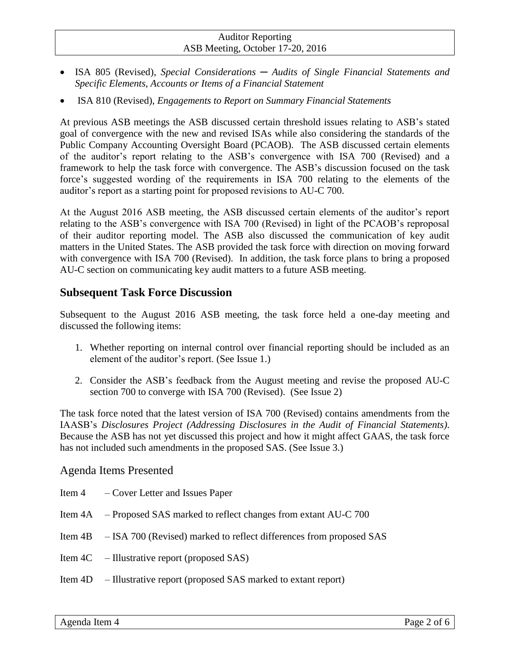- ISA 805 (Revised), *Special Considerations ─ Audits of Single Financial Statements and Specific Elements, Accounts or Items of a Financial Statement*
- ISA 810 (Revised), *Engagements to Report on Summary Financial Statements*

At previous ASB meetings the ASB discussed certain threshold issues relating to ASB's stated goal of convergence with the new and revised ISAs while also considering the standards of the Public Company Accounting Oversight Board (PCAOB). The ASB discussed certain elements of the auditor's report relating to the ASB's convergence with ISA 700 (Revised) and a framework to help the task force with convergence. The ASB's discussion focused on the task force's suggested wording of the requirements in ISA 700 relating to the elements of the auditor's report as a starting point for proposed revisions to AU-C 700.

At the August 2016 ASB meeting, the ASB discussed certain elements of the auditor's report relating to the ASB's convergence with ISA 700 (Revised) in light of the PCAOB's reproposal of their auditor reporting model. The ASB also discussed the communication of key audit matters in the United States. The ASB provided the task force with direction on moving forward with convergence with ISA 700 (Revised). In addition, the task force plans to bring a proposed AU-C section on communicating key audit matters to a future ASB meeting.

#### **Subsequent Task Force Discussion**

Subsequent to the August 2016 ASB meeting, the task force held a one-day meeting and discussed the following items:

- 1. Whether reporting on internal control over financial reporting should be included as an element of the auditor's report. (See Issue 1.)
- 2. Consider the ASB's feedback from the August meeting and revise the proposed AU-C section 700 to converge with ISA 700 (Revised). (See Issue 2)

The task force noted that the latest version of ISA 700 (Revised) contains amendments from the IAASB's *Disclosures Project (Addressing Disclosures in the Audit of Financial Statements)*. Because the ASB has not yet discussed this project and how it might affect GAAS, the task force has not included such amendments in the proposed SAS. (See Issue 3.)

#### Agenda Items Presented

| Item 4 – Cover Letter and Issues Paper                                      |
|-----------------------------------------------------------------------------|
| Item 4A – Proposed SAS marked to reflect changes from extant AU-C 700       |
| Item 4B – ISA 700 (Revised) marked to reflect differences from proposed SAS |
| Item $4C$ – Illustrative report (proposed SAS)                              |
| Item 4D – Illustrative report (proposed SAS marked to extant report)        |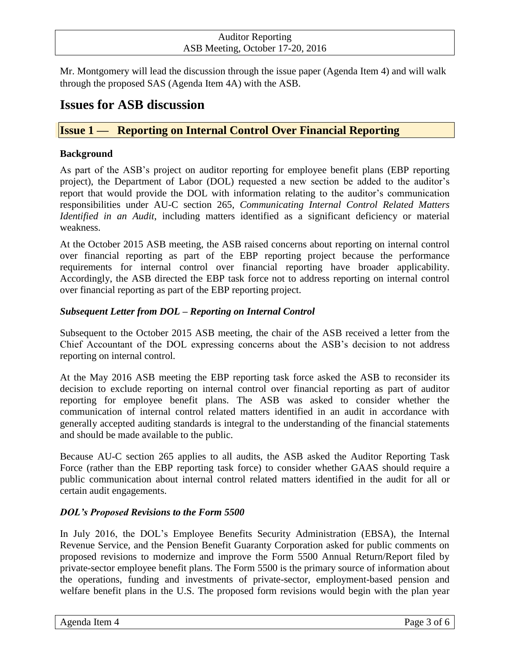Mr. Montgomery will lead the discussion through the issue paper (Agenda Item 4) and will walk through the proposed SAS (Agenda Item 4A) with the ASB.

# **Issues for ASB discussion**

# **Issue 1 — Reporting on Internal Control Over Financial Reporting**

#### **Background**

As part of the ASB's project on auditor reporting for employee benefit plans (EBP reporting project), the Department of Labor (DOL) requested a new section be added to the auditor's report that would provide the DOL with information relating to the auditor's communication responsibilities under AU-C section 265, *Communicating Internal Control Related Matters Identified in an Audit*, including matters identified as a significant deficiency or material weakness.

At the October 2015 ASB meeting, the ASB raised concerns about reporting on internal control over financial reporting as part of the EBP reporting project because the performance requirements for internal control over financial reporting have broader applicability. Accordingly, the ASB directed the EBP task force not to address reporting on internal control over financial reporting as part of the EBP reporting project.

#### *Subsequent Letter from DOL – Reporting on Internal Control*

Subsequent to the October 2015 ASB meeting, the chair of the ASB received a letter from the Chief Accountant of the DOL expressing concerns about the ASB's decision to not address reporting on internal control.

At the May 2016 ASB meeting the EBP reporting task force asked the ASB to reconsider its decision to exclude reporting on internal control over financial reporting as part of auditor reporting for employee benefit plans. The ASB was asked to consider whether the communication of internal control related matters identified in an audit in accordance with generally accepted auditing standards is integral to the understanding of the financial statements and should be made available to the public.

Because AU-C section 265 applies to all audits, the ASB asked the Auditor Reporting Task Force (rather than the EBP reporting task force) to consider whether GAAS should require a public communication about internal control related matters identified in the audit for all or certain audit engagements.

#### *DOL's Proposed Revisions to the Form 5500*

In July 2016, the DOL's Employee Benefits Security Administration (EBSA), the Internal Revenue Service, and the Pension Benefit Guaranty Corporation asked for public comments on proposed revisions to modernize and improve the Form 5500 Annual Return/Report filed by private-sector employee benefit plans. The Form 5500 is the primary source of information about the operations, funding and investments of private-sector, employment-based pension and welfare benefit plans in the U.S. The proposed form revisions would begin with the plan year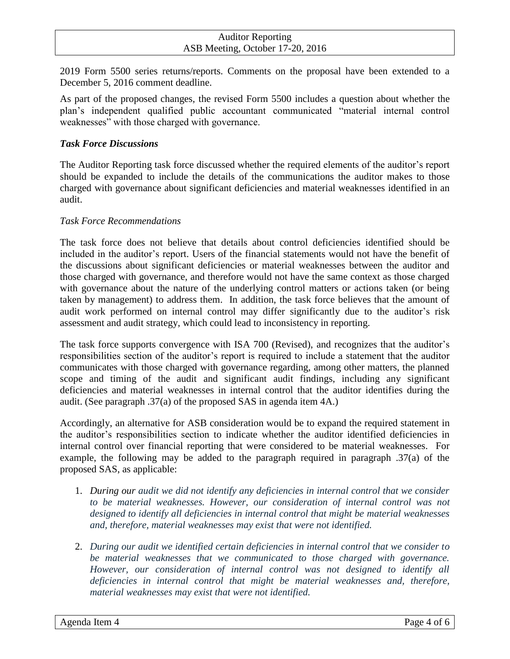2019 Form 5500 series returns/reports. Comments on the proposal have been extended to a December 5, 2016 comment deadline.

As part of the proposed changes, the revised Form 5500 includes a question about whether the plan's independent qualified public accountant communicated "material internal control weaknesses" with those charged with governance.

#### *Task Force Discussions*

The Auditor Reporting task force discussed whether the required elements of the auditor's report should be expanded to include the details of the communications the auditor makes to those charged with governance about significant deficiencies and material weaknesses identified in an audit.

#### *Task Force Recommendations*

The task force does not believe that details about control deficiencies identified should be included in the auditor's report. Users of the financial statements would not have the benefit of the discussions about significant deficiencies or material weaknesses between the auditor and those charged with governance, and therefore would not have the same context as those charged with governance about the nature of the underlying control matters or actions taken (or being taken by management) to address them. In addition, the task force believes that the amount of audit work performed on internal control may differ significantly due to the auditor's risk assessment and audit strategy, which could lead to inconsistency in reporting.

The task force supports convergence with ISA 700 (Revised), and recognizes that the auditor's responsibilities section of the auditor's report is required to include a statement that the auditor communicates with those charged with governance regarding, among other matters, the planned scope and timing of the audit and significant audit findings, including any significant deficiencies and material weaknesses in internal control that the auditor identifies during the audit. (See paragraph .37(a) of the proposed SAS in agenda item 4A.)

Accordingly, an alternative for ASB consideration would be to expand the required statement in the auditor's responsibilities section to indicate whether the auditor identified deficiencies in internal control over financial reporting that were considered to be material weaknesses. For example, the following may be added to the paragraph required in paragraph .37(a) of the proposed SAS, as applicable:

- 1. *During our audit we did not identify any deficiencies in internal control that we consider to be material weaknesses. However, our consideration of internal control was not designed to identify all deficiencies in internal control that might be material weaknesses and, therefore, material weaknesses may exist that were not identified.*
- 2. *During our audit we identified certain deficiencies in internal control that we consider to be material weaknesses that we communicated to those charged with governance. However, our consideration of internal control was not designed to identify all deficiencies in internal control that might be material weaknesses and, therefore, material weaknesses may exist that were not identified.*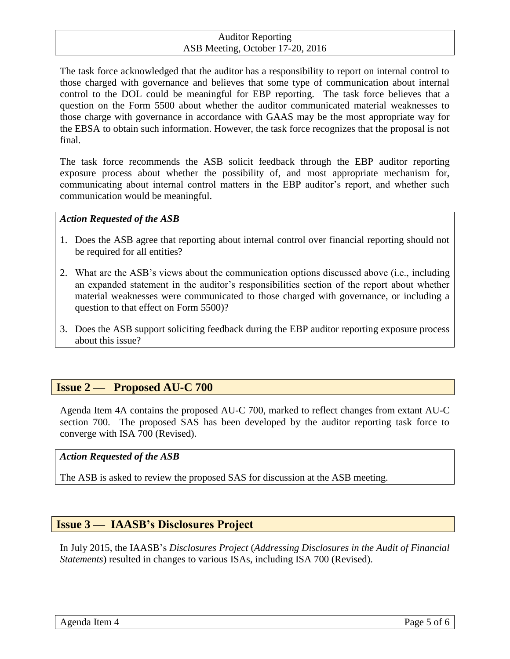The task force acknowledged that the auditor has a responsibility to report on internal control to those charged with governance and believes that some type of communication about internal control to the DOL could be meaningful for EBP reporting. The task force believes that a question on the Form 5500 about whether the auditor communicated material weaknesses to those charge with governance in accordance with GAAS may be the most appropriate way for the EBSA to obtain such information. However, the task force recognizes that the proposal is not final.

The task force recommends the ASB solicit feedback through the EBP auditor reporting exposure process about whether the possibility of, and most appropriate mechanism for, communicating about internal control matters in the EBP auditor's report, and whether such communication would be meaningful.

#### *Action Requested of the ASB*

- 1. Does the ASB agree that reporting about internal control over financial reporting should not be required for all entities?
- 2. What are the ASB's views about the communication options discussed above (i.e., including an expanded statement in the auditor's responsibilities section of the report about whether material weaknesses were communicated to those charged with governance, or including a question to that effect on Form 5500)?
- 3. Does the ASB support soliciting feedback during the EBP auditor reporting exposure process about this issue?

## **Issue 2 — Proposed AU-C 700**

Agenda Item 4A contains the proposed AU-C 700, marked to reflect changes from extant AU-C section 700. The proposed SAS has been developed by the auditor reporting task force to converge with ISA 700 (Revised).

#### *Action Requested of the ASB*

The ASB is asked to review the proposed SAS for discussion at the ASB meeting.

## **Issue 3 — IAASB's Disclosures Project**

In July 2015, the IAASB's *Disclosures Project* (*Addressing Disclosures in the Audit of Financial Statements*) resulted in changes to various ISAs, including ISA 700 (Revised).